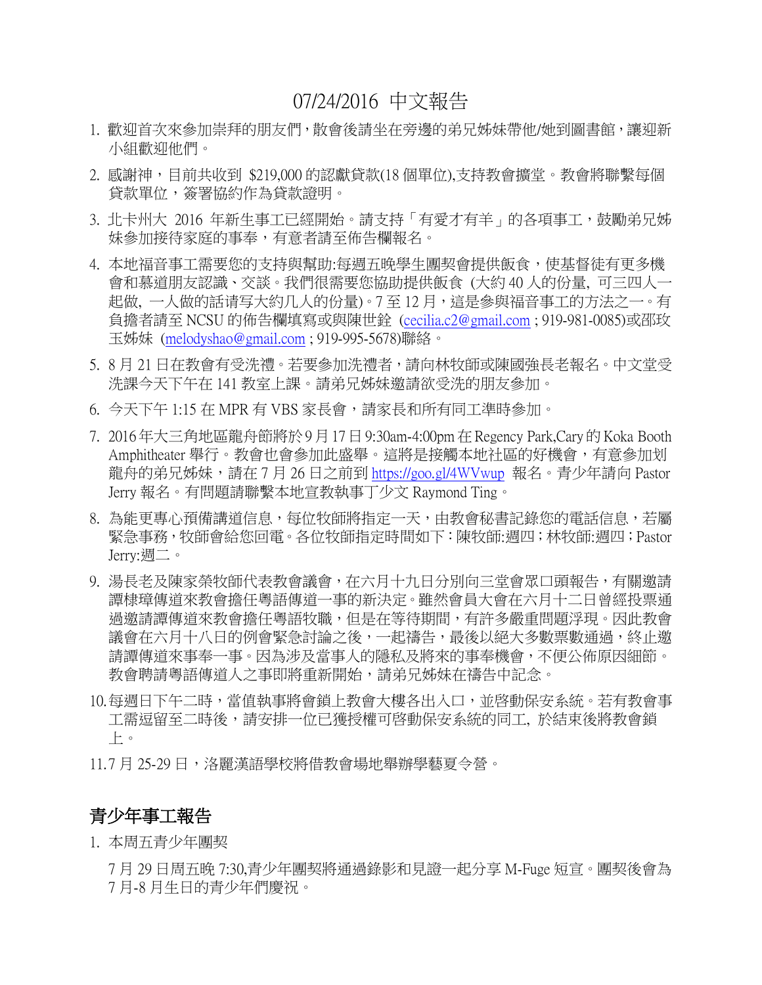# 07/24/2016 中文報告

- 1. 歡迎首次來參加崇拜的朋友們, 散會後請坐在旁邊的弟兄姊妹帶他/她到圖書館,讓迎新 小組歡迎他們。
- 2. 感謝神,目前共收到 \$219,000 的認獻貸款(18 個單位),支持教會擴堂。教會將聯繫每個 貸款單位,簽署協約作為貸款證明。
- 3. 北卡州大 2016 年新生事工已經開始。請支持「有愛才有羊」的各項事工,鼓勵弟兄姊 妹參加接待家庭的事奉,有意者請至佈告欄報名。
- 4. 本地福音事工需要您的支持與幫助:每週五晚學生團契會提供飯食,使基督徒有更多機 會和慕道朋友認識、交談。我們很需要您協助提供飯食 (大約 40 人的份量, 可三四人一 起做, 一人做的話请写大約几人的份量)。7至12月,這是參與福音事工的方法之一。有 負擔者請至 NCSU 的佈告欄填寫或與陳世銓 [\(cecilia.c2@gmail.com](mailto:cecilia.c2@gmail.com) ; 919-981-0085)或邵玫 玉姊妹 [\(melodyshao@gmail.com](mailto:melodyshao@gmail.com) ; 919-995-5678)聯絡。
- 5. 8 月 21 日在教會有受洗禮。若要參加洗禮者,請向林牧師或陳國強長老報名。中文堂受 洗課今天下午在 141 教室上課。請弟兄姊妹邀請欲受洗的朋友參加。
- 6. 今天下午 1:15 在 MPR 有 VBS 家長會,請家長和所有同工準時參加。
- 7. 2016年大三角地區龍舟節將於9月17日9:30am-4:00pm 在Regency Park,Cary的Koka Booth Amphitheater 舉行。教會也會參加此盛舉。這將是接觸本地社區的好機會,有意參加划 龍舟的弟兄姊妹,請在 7 月 26 日之前到 <https://goo.gl/4WVwup> 報名。青少年請向 Pastor Jerry 報名。有問題請聯繫本地宣教執事丁少文 Raymond Ting。
- 8. 為能更專心預備講道信息,每位牧師將指定一天,由教會秘書記錄您的電話信息,若屬 緊急事務,牧師會給您回電。各位牧師指定時間如下:陳牧師:週四;林牧師:週四;Pastor Jerry:週二。
- 9. 湯長老及陳家榮牧師代表教會議會,在六月十九日分別向三堂會眾口頭報告,有關邀請 譚棣璋傳道來教會擔任粵語傳道一事的新決定。雖然會員大會在六月十二日曾經投票通 過邀請譚傳道來教會擔任粵語牧職,但是在等待期間,有許多嚴重問題浮現。因此教會 議會在六月十八日的例會緊急討論之後,一起禱告,最後以絕大多數票數通過,終止激 請譚傳道來事奉一事。因為涉及當事人的隱私及將來的事奉機會,不便公佈原因細節。 教會聘請粵語傳道人之事即將重新開始,請弟兄姊妹在禱告中記念。
- 10.每週日下午二時,當值執事將會鎖上教會大樓各出入口,並啓動保安系統。若有教會事 工需逗留至二時後,請安排一位已獲授權可啓動保安系統的同工, 於結束後將教會鎖 上。
- 11.7 月 25-29 日,洛麗漢語學校將借教會場地舉辦學藝夏令營。

### 青少年事工報告

1. 本周五青少年團契

7 月 29 日周五晚 7:30,青少年團契將通過錄影和見證一起分享 M-Fuge 短宣。團契後會為 7 月-8 月生日的青少年們慶祝。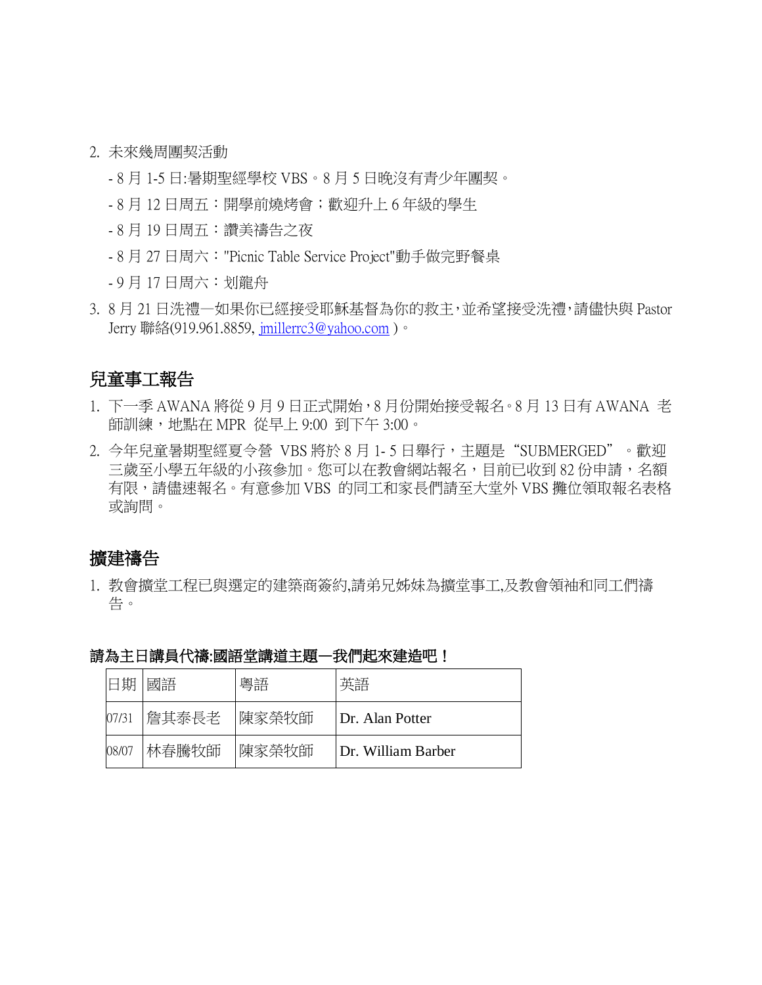- 2. 未來幾周團契活動
	- 8 月 1-5 日:暑期聖經學校 VBS。8 月 5 日晚沒有青少年團契。
	- 8 月 12 日周五:開學前燒烤會;歡迎升上 6 年級的學生
	- 8 月 19 日周五:讚美禱告之夜
	- 8 月 27 日周六:"Picnic Table Service Project"動手做完野餐桌
	- 9 月 17 日周六:划龍舟
- 3. 8 月 21 日洗禮—如果你已經接受耶穌基督為你的救主,並希望接受洗禮,請儘快與 Pastor Jerry 聯絡(919.961.8859, [jmillerrc3@yahoo.com](mailto:jmillerrc3@yahoo.com) )。

## 兒童事工報告

- 1. 下一季 AWANA 將從 9 月 9 日正式開始,8 月份開始接受報名。8 月 13 日有 AWANA 老 師訓練,地點在 MPR 從早上 9:00 到下午 3:00。
- 2. 今年兒童暑期聖經夏令營 VBS 將於 8 月 1- 5 日舉行,主題是"SUBMERGED"。歡迎 三歳至小學五年級的小孩參加。您可以在教會網站報名,目前已收到 82 份申請,名額 有限,請儘速報名。有意參加 VBS 的同工和家長們請至大堂外 VBS 攤位領取報名表格 或詢問。

### 擴建禱告

1. 教會擴堂工程已與選定的建築商簽約,請弟兄姊妹為擴堂事工,及教會領袖和同工們禱 告。

| 日期    | 國語    | 粵語    | 英語                 |
|-------|-------|-------|--------------------|
| 07/31 | 詹其泰長老 | 陳家榮牧師 | Dr. Alan Potter    |
| 08/07 | 林春騰牧師 | 陳家榮牧師 | Dr. William Barber |

|  | 請為主日講員代禱:國語堂講道主題- | └我們起來建造吧. |  |
|--|-------------------|-----------|--|
|  |                   |           |  |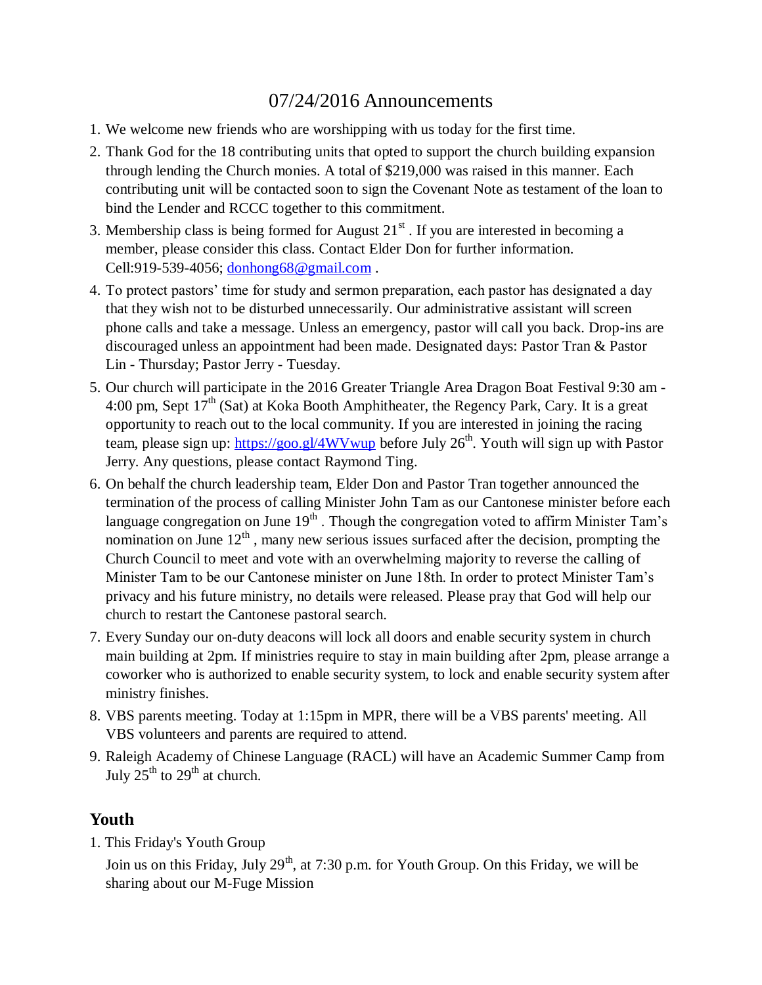# 07/24/2016 Announcements

- 1. We welcome new friends who are worshipping with us today for the first time.
- 2. Thank God for the 18 contributing units that opted to support the church building expansion through lending the Church monies. A total of \$219,000 was raised in this manner. Each contributing unit will be contacted soon to sign the Covenant Note as testament of the loan to bind the Lender and RCCC together to this commitment.
- 3. Membership class is being formed for August  $21<sup>st</sup>$ . If you are interested in becoming a member, please consider this class. Contact Elder Don for further information. Cell:919-539-4056; [donhong68@gmail.com](mailto:donhong68@gmail.com) .
- 4. To protect pastors' time for study and sermon preparation, each pastor has designated a day that they wish not to be disturbed unnecessarily. Our administrative assistant will screen phone calls and take a message. Unless an emergency, pastor will call you back. Drop-ins are discouraged unless an appointment had been made. Designated days: Pastor Tran & Pastor Lin - Thursday; Pastor Jerry - Tuesday.
- 5. Our church will participate in the 2016 Greater Triangle Area Dragon Boat Festival 9:30 am 4:00 pm, Sept  $17<sup>th</sup>$  (Sat) at Koka Booth Amphitheater, the Regency Park, Cary. It is a great opportunity to reach out to the local community. If you are interested in joining the racing team, please sign up:<https://goo.gl/4WVwup> before July 26<sup>th</sup>. Youth will sign up with Pastor Jerry. Any questions, please contact Raymond Ting.
- 6. On behalf the church leadership team, Elder Don and Pastor Tran together announced the termination of the process of calling Minister John Tam as our Cantonese minister before each language congregation on June  $19<sup>th</sup>$ . Though the congregation voted to affirm Minister Tam's nomination on June  $12<sup>th</sup>$ , many new serious issues surfaced after the decision, prompting the Church Council to meet and vote with an overwhelming majority to reverse the calling of Minister Tam to be our Cantonese minister on June 18th. In order to protect Minister Tam's privacy and his future ministry, no details were released. Please pray that God will help our church to restart the Cantonese pastoral search.
- 7. Every Sunday our on-duty deacons will lock all doors and enable security system in church main building at 2pm. If ministries require to stay in main building after 2pm, please arrange a coworker who is authorized to enable security system, to lock and enable security system after ministry finishes.
- 8. VBS parents meeting. Today at 1:15pm in MPR, there will be a VBS parents' meeting. All VBS volunteers and parents are required to attend.
- 9. Raleigh Academy of Chinese Language (RACL) will have an Academic Summer Camp from July  $25^{th}$  to  $29^{th}$  at church.

## **Youth**

1. This Friday's Youth Group

Join us on this Friday, July 29<sup>th</sup>, at 7:30 p.m. for Youth Group. On this Friday, we will be sharing about our M-Fuge Mission